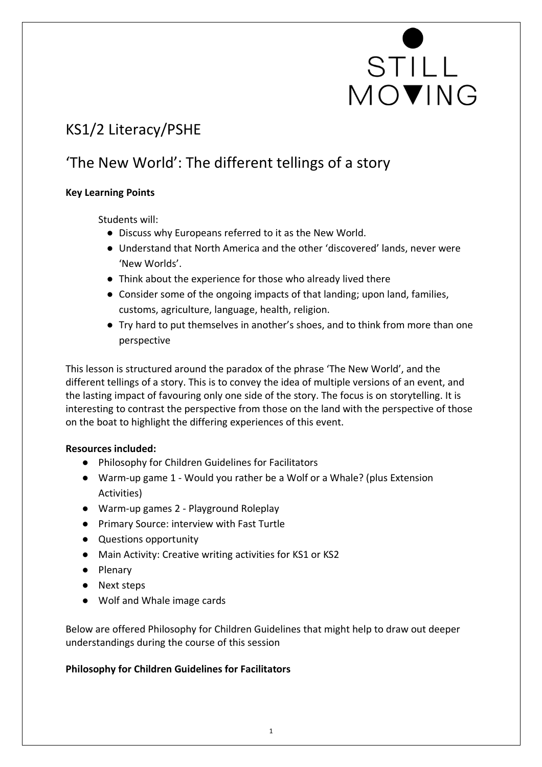# STILL<br>MOVING

### KS1/2 Literacy/PSHE

### 'The New World': The different tellings of a story

#### **Key Learning Points**

Students will:

- Discuss why Europeans referred to it as the New World.
- Understand that North America and the other 'discovered' lands, never were 'New Worlds'.
- Think about the experience for those who already lived there
- Consider some of the ongoing impacts of that landing; upon land, families, customs, agriculture, language, health, religion.
- Try hard to put themselves in another's shoes, and to think from more than one perspective

This lesson is structured around the paradox of the phrase 'The New World', and the different tellings of a story. This is to convey the idea of multiple versions of an event, and the lasting impact of favouring only one side of the story. The focus is on storytelling. It is interesting to contrast the perspective from those on the land with the perspective of those on the boat to highlight the differing experiences of this event.

#### **Resources included:**

- Philosophy for Children Guidelines for Facilitators
- Warm-up game 1 Would you rather be a Wolf or a Whale? (plus Extension Activities)
- Warm-up games 2 Playground Roleplay
- Primary Source: interview with Fast Turtle
- Questions opportunity
- Main Activity: Creative writing activities for KS1 or KS2
- Plenary
- Next steps
- Wolf and Whale image cards

Below are offered Philosophy for Children Guidelines that might help to draw out deeper understandings during the course of this session

#### **Philosophy for Children Guidelines for Facilitators**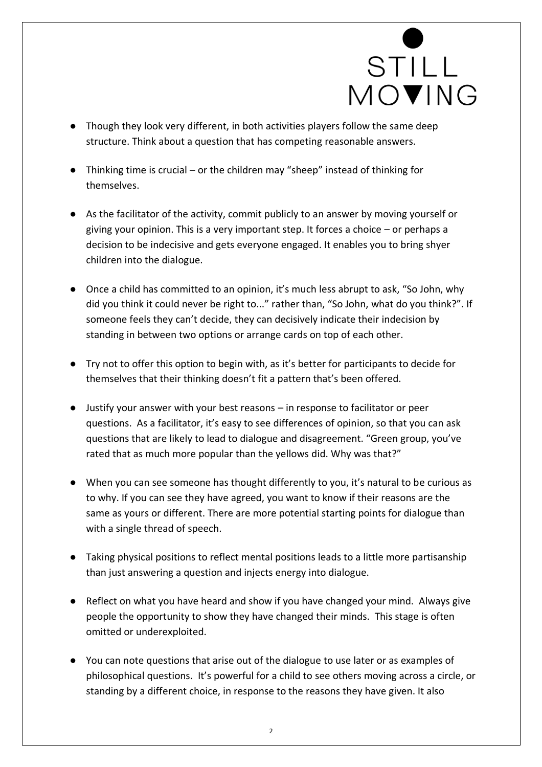

- Though they look very different, in both activities players follow the same deep structure. Think about a question that has competing reasonable answers.
- Thinking time is crucial or the children may "sheep" instead of thinking for themselves.
- As the facilitator of the activity, commit publicly to an answer by moving yourself or giving your opinion. This is a very important step. It forces a choice – or perhaps a decision to be indecisive and gets everyone engaged. It enables you to bring shyer children into the dialogue.
- Once a child has committed to an opinion, it's much less abrupt to ask, "So John, why did you think it could never be right to..." rather than, "So John, what do you think?". If someone feels they can't decide, they can decisively indicate their indecision by standing in between two options or arrange cards on top of each other.
- Try not to offer this option to begin with, as it's better for participants to decide for themselves that their thinking doesn't fit a pattern that's been offered.
- Justify your answer with your best reasons in response to facilitator or peer questions. As a facilitator, it's easy to see differences of opinion, so that you can ask questions that are likely to lead to dialogue and disagreement. "Green group, you've rated that as much more popular than the yellows did. Why was that?"
- When you can see someone has thought differently to you, it's natural to be curious as to why. If you can see they have agreed, you want to know if their reasons are the same as yours or different. There are more potential starting points for dialogue than with a single thread of speech.
- Taking physical positions to reflect mental positions leads to a little more partisanship than just answering a question and injects energy into dialogue.
- Reflect on what you have heard and show if you have changed your mind. Always give people the opportunity to show they have changed their minds. This stage is often omitted or underexploited.
- You can note questions that arise out of the dialogue to use later or as examples of philosophical questions. It's powerful for a child to see others moving across a circle, or standing by a different choice, in response to the reasons they have given. It also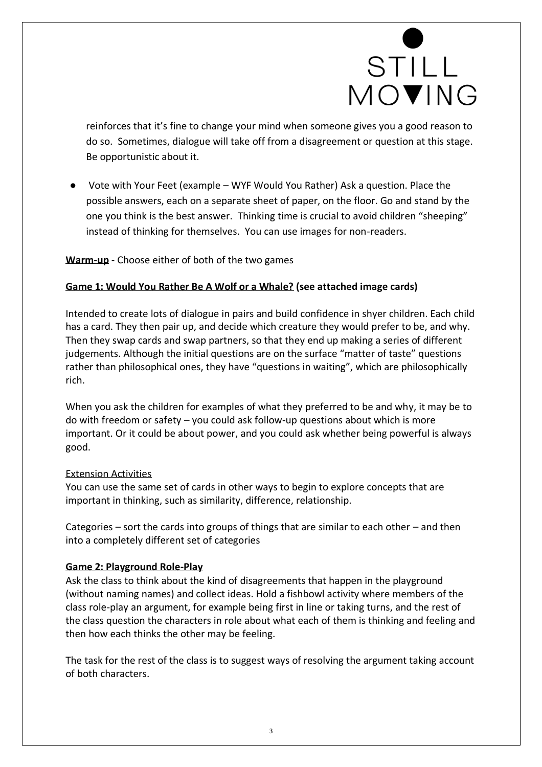# STILL MOVING

reinforces that it's fine to change your mind when someone gives you a good reason to do so. Sometimes, dialogue will take off from a disagreement or question at this stage. Be opportunistic about it.

● Vote with Your Feet (example – WYF Would You Rather) Ask a question. Place the possible answers, each on a separate sheet of paper, on the floor. Go and stand by the one you think is the best answer. Thinking time is crucial to avoid children "sheeping" instead of thinking for themselves. You can use images for non-readers.

**Warm-up** - Choose either of both of the two games

#### **Game 1: Would You Rather Be A Wolf or a Whale? (see attached image cards)**

Intended to create lots of dialogue in pairs and build confidence in shyer children. Each child has a card. They then pair up, and decide which creature they would prefer to be, and why. Then they swap cards and swap partners, so that they end up making a series of different judgements. Although the initial questions are on the surface "matter of taste" questions rather than philosophical ones, they have "questions in waiting", which are philosophically rich.

When you ask the children for examples of what they preferred to be and why, it may be to do with freedom or safety – you could ask follow-up questions about which is more important. Or it could be about power, and you could ask whether being powerful is always good.

#### Extension Activities

You can use the same set of cards in other ways to begin to explore concepts that are important in thinking, such as similarity, difference, relationship.

Categories – sort the cards into groups of things that are similar to each other – and then into a completely different set of categories

#### **Game 2: Playground Role-Play**

Ask the class to think about the kind of disagreements that happen in the playground (without naming names) and collect ideas. Hold a fishbowl activity where members of the class role-play an argument, for example being first in line or taking turns, and the rest of the class question the characters in role about what each of them is thinking and feeling and then how each thinks the other may be feeling.

The task for the rest of the class is to suggest ways of resolving the argument taking account of both characters.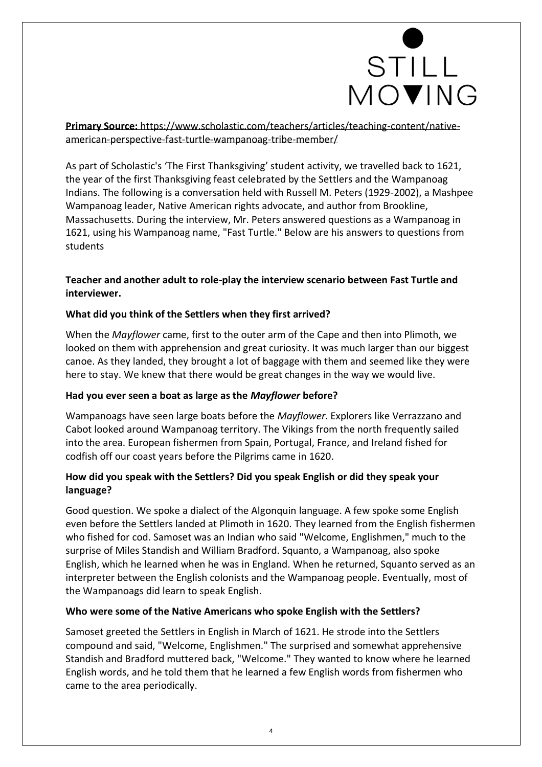

**Primary Source:** [https://www.scholastic.com/teachers/articles/teaching-content/native](https://www.scholastic.com/teachers/articles/teaching-content/native-american-perspective-fast-turtle-wampanoag-tribe-member/)[american-perspective-fast-turtle-wampanoag-tribe-member/](https://www.scholastic.com/teachers/articles/teaching-content/native-american-perspective-fast-turtle-wampanoag-tribe-member/)

As part of Scholastic's 'The First Thanksgiving' student activity, we travelled back to 1621, the year of the first Thanksgiving feast celebrated by the Settlers and the Wampanoag Indians. The following is a conversation held with Russell M. Peters (1929-2002), a Mashpee Wampanoag leader, Native American rights advocate, and author from Brookline, Massachusetts. During the interview, Mr. Peters answered questions as a Wampanoag in 1621, using his Wampanoag name, "Fast Turtle." Below are his answers to questions from students

#### **Teacher and another adult to role-play the interview scenario between Fast Turtle and interviewer.**

#### **What did you think of the Settlers when they first arrived?**

When the *Mayflower* came, first to the outer arm of the Cape and then into Plimoth, we looked on them with apprehension and great curiosity. It was much larger than our biggest canoe. As they landed, they brought a lot of baggage with them and seemed like they were here to stay. We knew that there would be great changes in the way we would live.

#### **Had you ever seen a boat as large as the** *Mayflower* **before?**

Wampanoags have seen large boats before the *Mayflower*. Explorers like Verrazzano and Cabot looked around Wampanoag territory. The Vikings from the north frequently sailed into the area. European fishermen from Spain, Portugal, France, and Ireland fished for codfish off our coast years before the Pilgrims came in 1620.

#### **How did you speak with the Settlers? Did you speak English or did they speak your language?**

Good question. We spoke a dialect of the Algonquin language. A few spoke some English even before the Settlers landed at Plimoth in 1620. They learned from the English fishermen who fished for cod. Samoset was an Indian who said "Welcome, Englishmen," much to the surprise of Miles Standish and William Bradford. Squanto, a Wampanoag, also spoke English, which he learned when he was in England. When he returned, Squanto served as an interpreter between the English colonists and the Wampanoag people. Eventually, most of the Wampanoags did learn to speak English.

#### **Who were some of the Native Americans who spoke English with the Settlers?**

Samoset greeted the Settlers in English in March of 1621. He strode into the Settlers compound and said, "Welcome, Englishmen." The surprised and somewhat apprehensive Standish and Bradford muttered back, "Welcome." They wanted to know where he learned English words, and he told them that he learned a few English words from fishermen who came to the area periodically.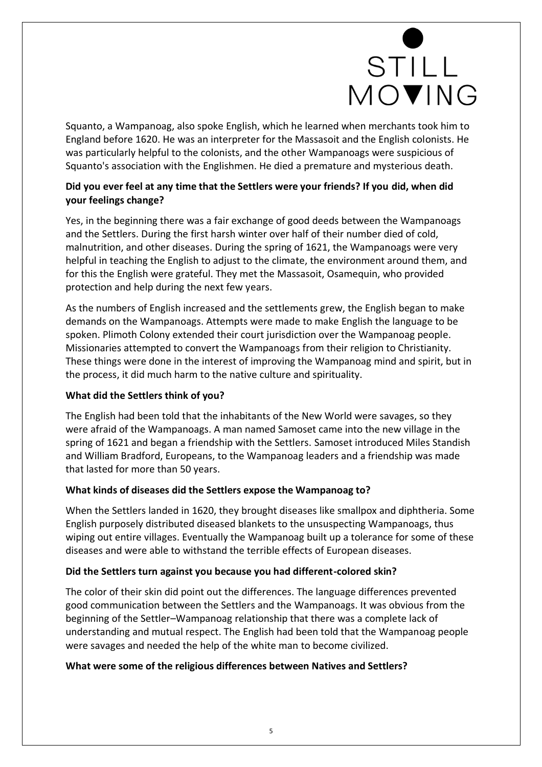# STILL MOVING

Squanto, a Wampanoag, also spoke English, which he learned when merchants took him to England before 1620. He was an interpreter for the Massasoit and the English colonists. He was particularly helpful to the colonists, and the other Wampanoags were suspicious of Squanto's association with the Englishmen. He died a premature and mysterious death.

#### **Did you ever feel at any time that the Settlers were your friends? If you did, when did your feelings change?**

Yes, in the beginning there was a fair exchange of good deeds between the Wampanoags and the Settlers. During the first harsh winter over half of their number died of cold, malnutrition, and other diseases. During the spring of 1621, the Wampanoags were very helpful in teaching the English to adjust to the climate, the environment around them, and for this the English were grateful. They met the Massasoit, Osamequin, who provided protection and help during the next few years.

As the numbers of English increased and the settlements grew, the English began to make demands on the Wampanoags. Attempts were made to make English the language to be spoken. Plimoth Colony extended their court jurisdiction over the Wampanoag people. Missionaries attempted to convert the Wampanoags from their religion to Christianity. These things were done in the interest of improving the Wampanoag mind and spirit, but in the process, it did much harm to the native culture and spirituality.

#### **What did the Settlers think of you?**

The English had been told that the inhabitants of the New World were savages, so they were afraid of the Wampanoags. A man named Samoset came into the new village in the spring of 1621 and began a friendship with the Settlers. Samoset introduced Miles Standish and William Bradford, Europeans, to the Wampanoag leaders and a friendship was made that lasted for more than 50 years.

#### **What kinds of diseases did the Settlers expose the Wampanoag to?**

When the Settlers landed in 1620, they brought diseases like smallpox and diphtheria. Some English purposely distributed diseased blankets to the unsuspecting Wampanoags, thus wiping out entire villages. Eventually the Wampanoag built up a tolerance for some of these diseases and were able to withstand the terrible effects of European diseases.

#### **Did the Settlers turn against you because you had different-colored skin?**

The color of their skin did point out the differences. The language differences prevented good communication between the Settlers and the Wampanoags. It was obvious from the beginning of the Settler–Wampanoag relationship that there was a complete lack of understanding and mutual respect. The English had been told that the Wampanoag people were savages and needed the help of the white man to become civilized.

#### **What were some of the religious differences between Natives and Settlers?**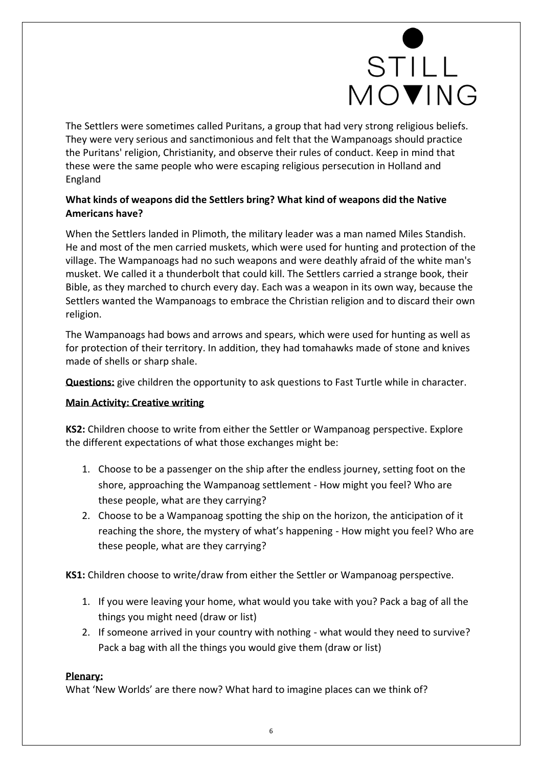# STILL MOVING

The Settlers were sometimes called Puritans, a group that had very strong religious beliefs. They were very serious and sanctimonious and felt that the Wampanoags should practice the Puritans' religion, Christianity, and observe their rules of conduct. Keep in mind that these were the same people who were escaping religious persecution in Holland and England

#### **What kinds of weapons did the Settlers bring? What kind of weapons did the Native Americans have?**

When the Settlers landed in Plimoth, the military leader was a man named Miles Standish. He and most of the men carried muskets, which were used for hunting and protection of the village. The Wampanoags had no such weapons and were deathly afraid of the white man's musket. We called it a thunderbolt that could kill. The Settlers carried a strange book, their Bible, as they marched to church every day. Each was a weapon in its own way, because the Settlers wanted the Wampanoags to embrace the Christian religion and to discard their own religion.

The Wampanoags had bows and arrows and spears, which were used for hunting as well as for protection of their territory. In addition, they had tomahawks made of stone and knives made of shells or sharp shale.

**Questions:** give children the opportunity to ask questions to Fast Turtle while in character.

#### **Main Activity: Creative writing**

**KS2:** Children choose to write from either the Settler or Wampanoag perspective. Explore the different expectations of what those exchanges might be:

- 1. Choose to be a passenger on the ship after the endless journey, setting foot on the shore, approaching the Wampanoag settlement - How might you feel? Who are these people, what are they carrying?
- 2. Choose to be a Wampanoag spotting the ship on the horizon, the anticipation of it reaching the shore, the mystery of what's happening - How might you feel? Who are these people, what are they carrying?

**KS1:** Children choose to write/draw from either the Settler or Wampanoag perspective.

- 1. If you were leaving your home, what would you take with you? Pack a bag of all the things you might need (draw or list)
- 2. If someone arrived in your country with nothing what would they need to survive? Pack a bag with all the things you would give them (draw or list)

#### **Plenary:**

What 'New Worlds' are there now? What hard to imagine places can we think of?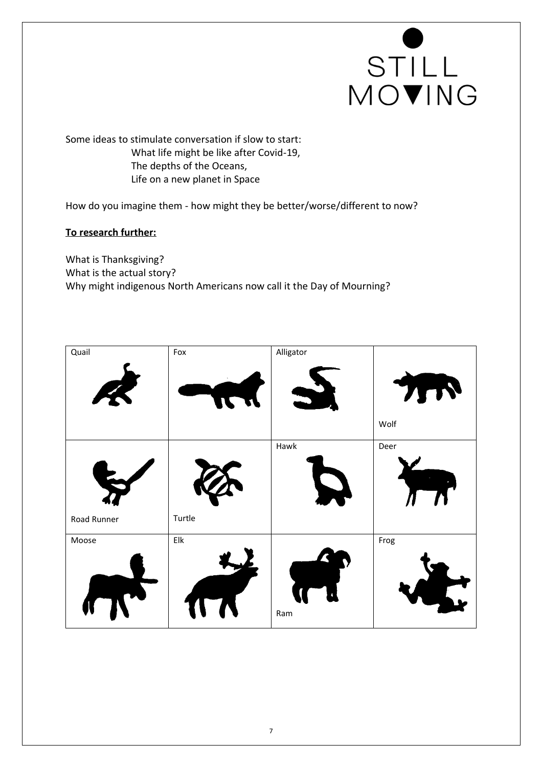

Some ideas to stimulate conversation if slow to start: What life might be like after Covid-19, The depths of the Oceans, Life on a new planet in Space

How do you imagine them - how might they be better/worse/different to now?

#### **To research further:**

What is Thanksgiving? What is the actual story? Why might indigenous North Americans now call it the Day of Mourning?

| Quail       | Fox            | Alligator |                            |
|-------------|----------------|-----------|----------------------------|
|             | n              |           | $\bullet$<br>$\mathcal{M}$ |
|             |                |           | Wolf                       |
|             |                | Hawk      | Deer                       |
|             |                |           |                            |
| Road Runner | Turtle         |           |                            |
| Moose       | $\mathsf{Elk}$ |           | Frog                       |
|             |                | Ram       |                            |